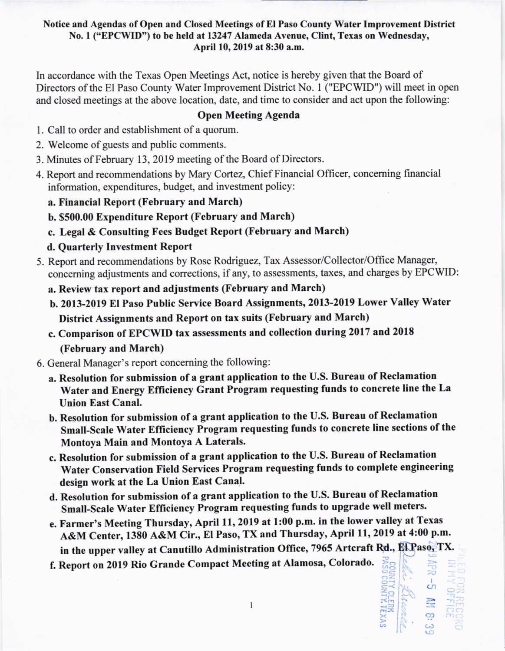### Notice and Agendas of Open and Closed Meetings of El Paso County Water Improvement District No. I ("EPCWID") to be held at 13247 Alameda Avenue, Clint, Texas on Wednesday, April 10,2019 at 8:30 a.m.

In accordance with the Texas Open Meetings Act, notice is hereby given that the Board of Directors of the El Paso County Water Improvement District No. I ("EPCWID") will meet in open and closed meetings at the above location, date, and time to consider and act upon the following:

## Open Meeting Agenda

- l. Call to order and establishment of a quorum.
- 2. Welcome of guests and public comments.
- 3. Minutes of February 13,2019 meeting of the Board of Directors.
- 4. Report and recommendations by Mary Cortez, Chief Financial Officer, conceming financial information, expenditures, budget, and investment policy:
	- a. Financial Report (February and March)
	- b. \$500.00 Expenditure Report (February and March)
	- c. Legal & Consulting Fees Budget Report (February and March)
	- d. Quarterly Investment Report
- 5. Report and recommendations by Rose Rodriguez, Tax Assessor/Collector/Office Manager, conceming adjustments and corrections, if any, to assessments, taxes, and charges by EPCWID:
	- a. Review tax report and adjustments (February and March)
	- b. 2013-2019 El Paso Public service Board Assignments, 2013-2019 Lower Valley Water District Assignments and Report on tax suits (February and March)
	- c. Comparison of EPCWID tax assessments and collection during 2017 and 2Ol8 (February and March)
- 6. General Manager's report conceming the following:
	- a. Resolution for submission of a grant application to the U.S. Bureau of Reclamation Water and Energy Efficiency Grant Program requesting funds to concrete line the La Union East Canal.
	- b. Resolution for submission of a grant application to the U.S. Bureau of Reclamation Small-Scale Water Efficiency Program requesting funds to concrete line sections of the Montoya Main and Montoya A Laterals.
	- c. Resolution for submission of a grant application to the U.S. Bureau of Reclamation Water Conservation Field Services Program requesting funds to complete engineering design work at the La Union East Canal.
	- d. Resolution for submission of a grant application to the U.S. Bureau of Reclamation smalt-scale water Efliciency Program requesting funds to upgrade well meters.
	- e. Farmer's Meeting Thursday, April 11, 2019 at 1:00 p.m. in the lower valley at Texas A&M Center, 1380 A&M cir., El Paso, TX and Thursday, April 11,2019 at 4:00 p.m. in the upper valley at Canutillo Administration Office, 7965 Artcraft Rd., El Paso, TX.<br>Report on 2019 Rio Grande Compact Meeting at Alamosa, Colorado.

 $\mathbf{1}$ 

f. Report on 2019 Rio Grande Compact Meeting at Alamosa, Colorado.